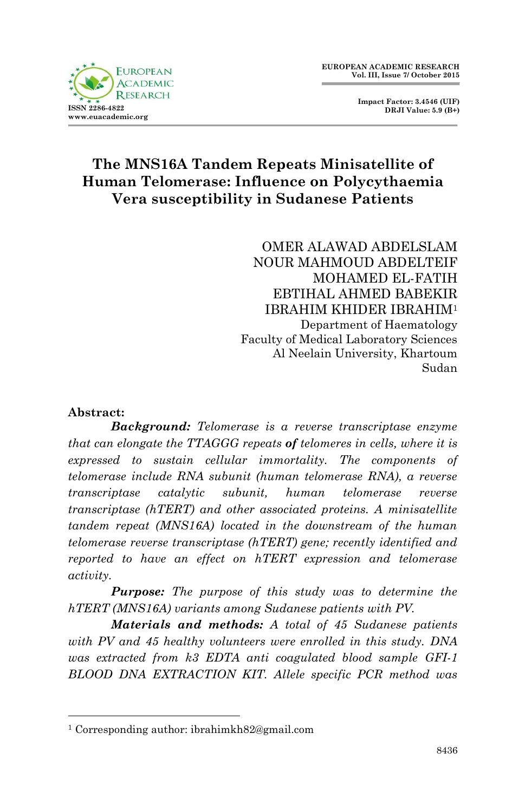

 **Impact Factor: 3.4546 (UIF) DRJI Value: 5.9 (B+)**

# **The MNS16A Tandem Repeats Minisatellite of Human Telomerase: Influence on Polycythaemia Vera susceptibility in Sudanese Patients**

OMER ALAWAD ABDELSLAM NOUR MAHMOUD ABDELTEIF MOHAMED EL-FATIH EBTIHAL AHMED BABEKIR IBRAHIM KHIDER IBRAHIM<sup>1</sup> Department of Haematology Faculty of Medical Laboratory Sciences Al Neelain University, Khartoum Sudan

#### **Abstract:**

1

*Background: Telomerase is a reverse transcriptase enzyme that can elongate the TTAGGG repeats of telomeres in cells, where it is expressed to sustain cellular immortality. The components of telomerase include RNA subunit (human telomerase RNA), a reverse transcriptase catalytic subunit, human telomerase reverse transcriptase (hTERT) and other associated proteins. A minisatellite tandem repeat (MNS16A) located in the downstream of the human telomerase reverse transcriptase (hTERT) gene; recently identified and reported to have an effect on hTERT expression and telomerase activity.*

*Purpose: The purpose of this study was to determine the hTERT (MNS16A) variants among Sudanese patients with PV.*

*Materials and methods: A total of 45 Sudanese patients with PV and 45 healthy volunteers were enrolled in this study. DNA was extracted from k3 EDTA anti coagulated blood sample GFI-1 BLOOD DNA EXTRACTION KIT. Allele specific PCR method was* 

<sup>1</sup> Corresponding author: ibrahimkh82@gmail.com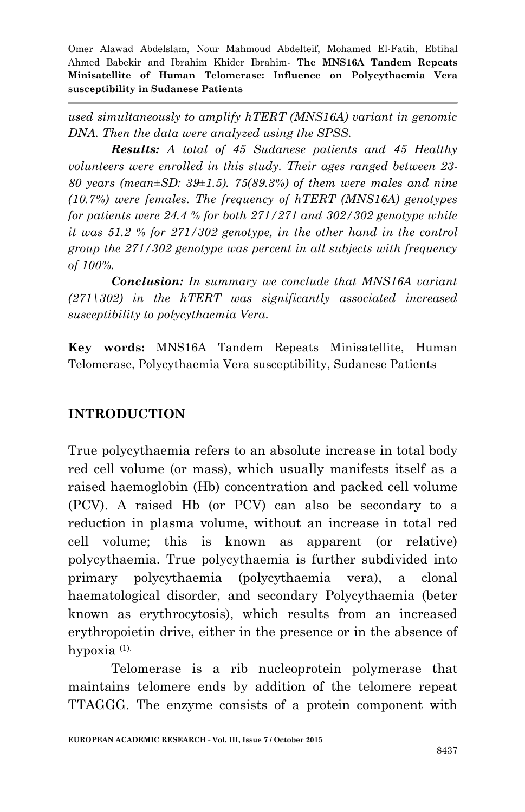*used simultaneously to amplify hTERT (MNS16A) variant in genomic DNA. Then the data were analyzed using the SPSS.*

*Results: A total of 45 Sudanese patients and 45 Healthy volunteers were enrolled in this study. Their ages ranged between 23- 80 years (mean±SD: 39±1.5). 75(89.3%) of them were males and nine (10.7%) were females. The frequency of hTERT (MNS16A) genotypes for patients were 24.4 % for both 271/271 and 302/302 genotype while it was 51.2 % for 271/302 genotype, in the other hand in the control group the 271/302 genotype was percent in all subjects with frequency of 100%.*

*Conclusion: In summary we conclude that MNS16A variant (271\302) in the hTERT was significantly associated increased susceptibility to polycythaemia Vera.*

**Key words:** MNS16A Tandem Repeats Minisatellite, Human Telomerase, Polycythaemia Vera susceptibility, Sudanese Patients

# **INTRODUCTION**

True polycythaemia refers to an absolute increase in total body red cell volume (or mass), which usually manifests itself as a raised haemoglobin (Hb) concentration and packed cell volume (PCV). A raised Hb (or PCV) can also be secondary to a reduction in plasma volume, without an increase in total red cell volume; this is known as apparent (or relative) polycythaemia. True polycythaemia is further subdivided into primary polycythaemia (polycythaemia vera), a clonal haematological disorder, and secondary Polycythaemia (beter known as erythrocytosis), which results from an increased erythropoietin drive, either in the presence or in the absence of hypoxia (1).

Telomerase is a rib nucleoprotein polymerase that maintains telomere ends by addition of the telomere repeat TTAGGG. The enzyme consists of a protein component with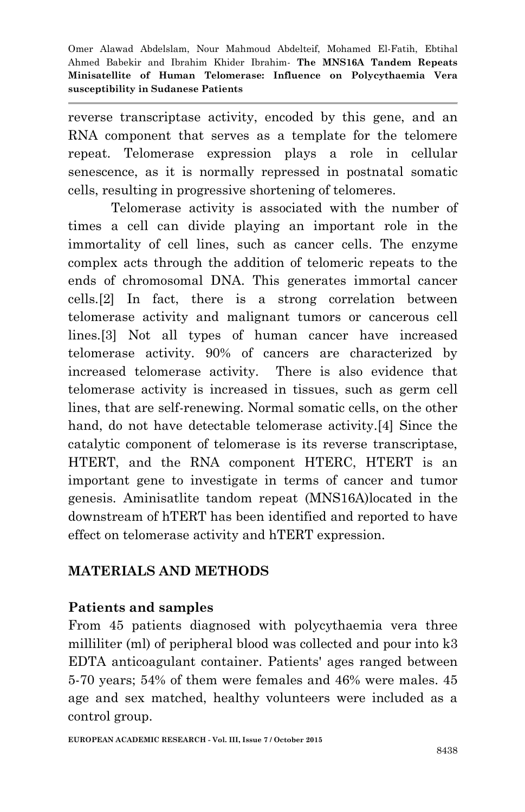reverse transcriptase activity, encoded by this gene, and an RNA component that serves as a template for the telomere repeat. Telomerase expression plays a role in cellular senescence, as it is normally repressed in postnatal somatic cells, resulting in progressive shortening of telomeres.

Telomerase activity is associated with the number of times a cell can divide playing an important role in the immortality of cell lines, such as cancer cells. The enzyme complex acts through the addition of telomeric repeats to the ends of chromosomal DNA. This generates immortal cancer cells.[2] In fact, there is a strong correlation between telomerase activity and malignant tumors or cancerous cell lines.[3] Not all types of human cancer have increased telomerase activity. 90% of cancers are characterized by increased telomerase activity. There is also evidence that telomerase activity is increased in tissues, such as germ cell lines, that are self-renewing. Normal somatic cells, on the other hand, do not have detectable telomerase activity.[4] Since the catalytic component of telomerase is its reverse transcriptase, HTERT, and the RNA component HTERC, HTERT is an important gene to investigate in terms of cancer and tumor genesis. Aminisatlite tandom repeat (MNS16A)located in the downstream of hTERT has been identified and reported to have effect on telomerase activity and hTERT expression.

# **MATERIALS AND METHODS**

#### **Patients and samples**

From 45 patients diagnosed with polycythaemia vera three milliliter (ml) of peripheral blood was collected and pour into k3 EDTA anticoagulant container. Patients' ages ranged between 5-70 years; 54% of them were females and 46% were males. 45 age and sex matched, healthy volunteers were included as a control group.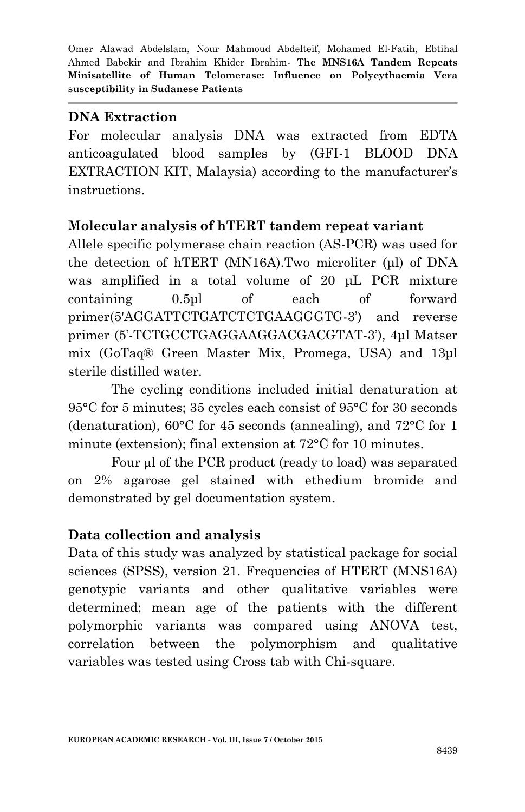#### **DNA Extraction**

For molecular analysis DNA was extracted from EDTA anticoagulated blood samples by (GFI-1 BLOOD DNA EXTRACTION KIT, Malaysia) according to the manufacturer's instructions.

#### **Molecular analysis of hTERT tandem repeat variant**

Allele specific polymerase chain reaction (AS-PCR) was used for the detection of hTERT (MN16A).Two microliter (μl) of DNA was amplified in a total volume of 20 μL PCR mixture containing 0.5μl of each of forward primer(5'AGGATTCTGATCTCTGAAGGGTG-3') and reverse primer (5'-TCTGCCTGAGGAAGGACGACGTAT-3'), 4μl Matser mix (GoTaq® Green Master Mix, Promega, USA) and 13μl sterile distilled water.

The cycling conditions included initial denaturation at 95°C for 5 minutes; 35 cycles each consist of 95°C for 30 seconds (denaturation), 60°C for 45 seconds (annealing), and 72°C for 1 minute (extension); final extension at 72°C for 10 minutes.

Four µ of the PCR product (ready to load) was separated on 2% agarose gel stained with ethedium bromide and demonstrated by gel documentation system.

# **Data collection and analysis**

Data of this study was analyzed by statistical package for social sciences (SPSS), version 21. Frequencies of HTERT (MNS16A) genotypic variants and other qualitative variables were determined; mean age of the patients with the different polymorphic variants was compared using ANOVA test, correlation between the polymorphism and qualitative variables was tested using Cross tab with Chi-square.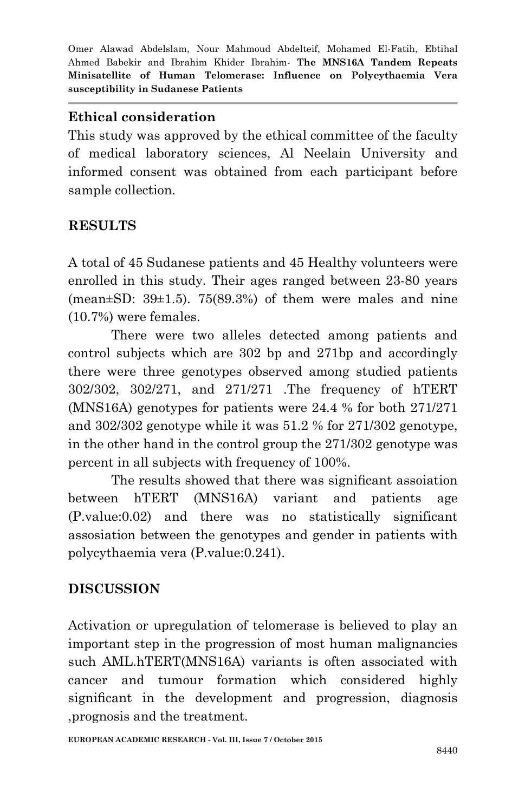#### **Ethical consideration**

This study was approved by the ethical committee of the faculty of medical laboratory sciences, Al Neelain University and informed consent was obtained from each participant before sample collection.

# **RESULTS**

A total of 45 Sudanese patients and 45 Healthy volunteers were enrolled in this study. Their ages ranged between 23-80 years (mean $\pm$ SD: 39 $\pm$ 1.5). 75(89.3%) of them were males and nine (10.7%) were females.

There were two alleles detected among patients and control subjects which are 302 bp and 271bp and accordingly there were three genotypes observed among studied patients 302/302, 302/271, and 271/271 .The frequency of hTERT (MNS16A) genotypes for patients were 24.4 % for both 271/271 and 302/302 genotype while it was 51.2 % for 271/302 genotype, in the other hand in the control group the 271/302 genotype was percent in all subjects with frequency of 100%.

The results showed that there was significant assoiation between hTERT (MNS16A) variant and patients age (P.value:0.02) and there was no statistically significant assosiation between the genotypes and gender in patients with polycythaemia vera (P.value:0.241).

# **DISCUSSION**

Activation or upregulation of telomerase is believed to play an important step in the progression of most human malignancies such AML.hTERT(MNS16A) variants is often associated with cancer and tumour formation which considered highly significant in the development and progression, diagnosis ,prognosis and the treatment.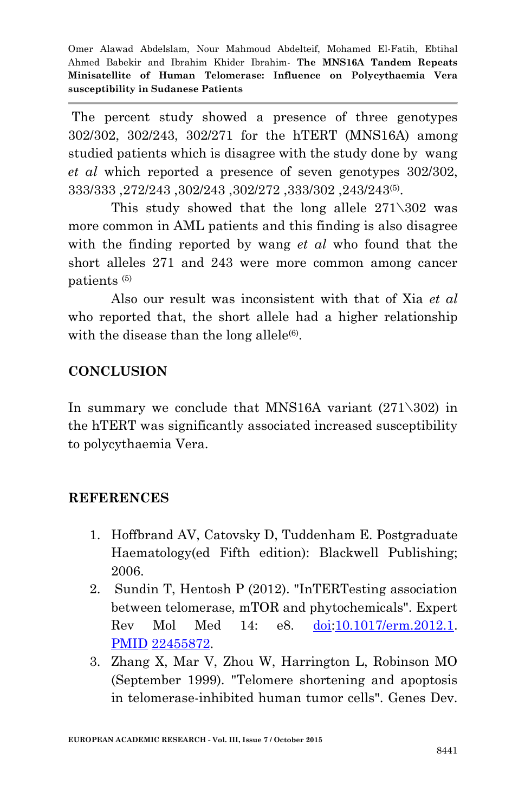The percent study showed a presence of three genotypes 302/302, 302/243, 302/271 for the hTERT (MNS16A) among studied patients which is disagree with the study done by wang *et al* which reported a presence of seven genotypes 302/302, 333/333 ,272/243 ,302/243 ,302/272 ,333/302 ,243/243(5) .

This study showed that the long allele  $271\overline{302}$  was more common in AML patients and this finding is also disagree with the finding reported by wang *et al* who found that the short alleles 271 and 243 were more common among cancer patients (5)

Also our result was inconsistent with that of Xia *et al* who reported that, the short allele had a higher relationship with the disease than the long allele $(6)$ .

# **CONCLUSION**

In summary we conclude that MNS16A variant  $(271\text{)}302)$  in the hTERT was significantly associated increased susceptibility to polycythaemia Vera.

#### **REFERENCES**

- 1. Hoffbrand AV, Catovsky D, Tuddenham E. Postgraduate Haematology(ed Fifth edition): Blackwell Publishing; 2006.
- 2. Sundin T, Hentosh P (2012). "InTERTesting association between telomerase, mTOR and phytochemicals". Expert Rev Mol Med 14: e8. [doi:](http://en.wikipedia.org/wiki/Digital_object_identifier)[10.1017/erm.2012.1.](http://dx.doi.org/10.1017%2Ferm.2012.1) [PMID](http://en.wikipedia.org/wiki/PubMed_Identifier) [22455872.](http://www.ncbi.nlm.nih.gov/pubmed/22455872)
- 3. Zhang X, Mar V, Zhou W, Harrington L, Robinson MO (September 1999). "Telomere shortening and apoptosis in telomerase-inhibited human tumor cells". Genes Dev.